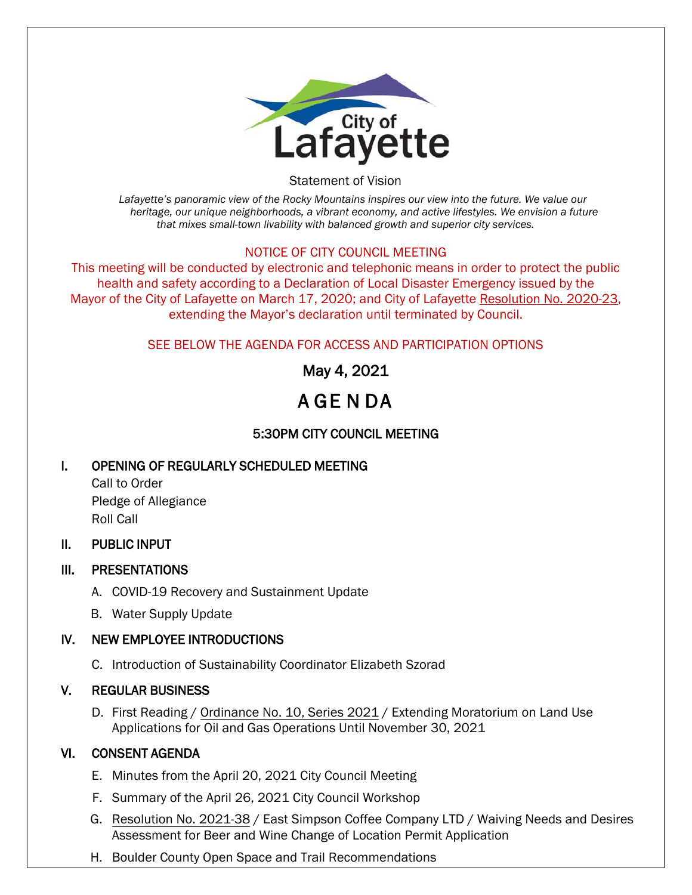

Statement of Vision

*Lafayette's panoramic view of the Rocky Mountains inspires our view into the future. We value our heritage, our unique neighborhoods, a vibrant economy, and active lifestyles. We envision a future that mixes small-town livability with balanced growth and superior city services.*

#### NOTICE OF CITY COUNCIL MEETING

This meeting will be conducted by electronic and telephonic means in order to protect the public health and safety according to a Declaration of Local Disaster Emergency issued by the Mayor of the City of Lafayette on March 17, 2020; and City of Lafayette Resolution No. 2020-23, extending the Mayor's declaration until terminated by Council.

# SEE BELOW THE AGENDA FOR ACCESS AND PARTICIPATION OPTIONS

# May 4, 2021

# A GE N DA

# 5:30PM CITY COUNCIL MEETING

# I. OPENING OF REGULARLY SCHEDULED MEETING

Call to Order Pledge of Allegiance Roll Call

# II. PUBLIC INPUT

# III. PRESENTATIONS

- A. COVID-19 Recovery and Sustainment Update
- B. Water Supply Update

# IV. NEW EMPLOYEE INTRODUCTIONS

C. Introduction of Sustainability Coordinator Elizabeth Szorad

# V. REGULAR BUSINESS

D. First Reading / Ordinance No. 10, Series 2021 / Extending Moratorium on Land Use Applications for Oil and Gas Operations Until November 30, 2021

# VI. CONSENT AGENDA

- E. Minutes from the April 20, 2021 City Council Meeting
- F. Summary of the April 26, 2021 City Council Workshop
- G. Resolution No. 2021-38 / East Simpson Coffee Company LTD / Waiving Needs and Desires Assessment for Beer and Wine Change of Location Permit Application
- H. Boulder County Open Space and Trail Recommendations